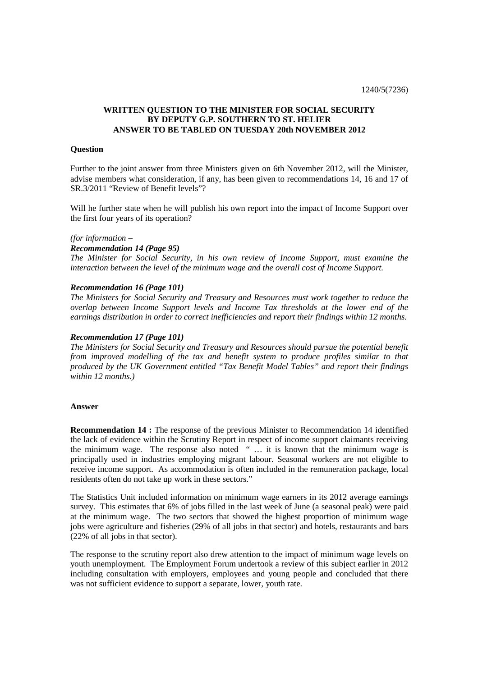# **WRITTEN QUESTION TO THE MINISTER FOR SOCIAL SECURITY BY DEPUTY G.P. SOUTHERN TO ST. HELIER ANSWER TO BE TABLED ON TUESDAY 20th NOVEMBER 2012**

## **Question**

Further to the joint answer from three Ministers given on 6th November 2012, will the Minister, advise members what consideration, if any, has been given to recommendations 14, 16 and 17 of SR.3/2011 "Review of Benefit levels"?

Will he further state when he will publish his own report into the impact of Income Support over the first four years of its operation?

#### *(for information –*

### *Recommendation 14 (Page 95)*

*The Minister for Social Security, in his own review of Income Support, must examine the interaction between the level of the minimum wage and the overall cost of Income Support.* 

#### *Recommendation 16 (Page 101)*

*The Ministers for Social Security and Treasury and Resources must work together to reduce the overlap between Income Support levels and Income Tax thresholds at the lower end of the earnings distribution in order to correct inefficiencies and report their findings within 12 months.* 

### *Recommendation 17 (Page 101)*

*The Ministers for Social Security and Treasury and Resources should pursue the potential benefit from improved modelling of the tax and benefit system to produce profiles similar to that produced by the UK Government entitled "Tax Benefit Model Tables" and report their findings within 12 months.)* 

### **Answer**

**Recommendation 14 :** The response of the previous Minister to Recommendation 14 identified the lack of evidence within the Scrutiny Report in respect of income support claimants receiving the minimum wage. The response also noted " … it is known that the minimum wage is principally used in industries employing migrant labour. Seasonal workers are not eligible to receive income support. As accommodation is often included in the remuneration package, local residents often do not take up work in these sectors."

The Statistics Unit included information on minimum wage earners in its 2012 average earnings survey. This estimates that 6% of jobs filled in the last week of June (a seasonal peak) were paid at the minimum wage. The two sectors that showed the highest proportion of minimum wage jobs were agriculture and fisheries (29% of all jobs in that sector) and hotels, restaurants and bars (22% of all jobs in that sector).

The response to the scrutiny report also drew attention to the impact of minimum wage levels on youth unemployment. The Employment Forum undertook a review of this subject earlier in 2012 including consultation with employers, employees and young people and concluded that there was not sufficient evidence to support a separate, lower, youth rate.